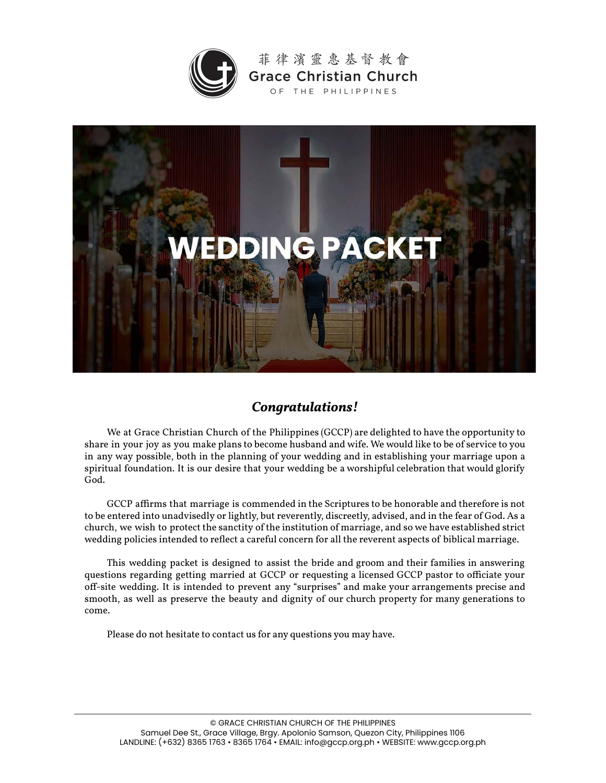

菲律濱靈惠基督教會 **Grace Christian Church** OF THE PHILIPPINES



## *Congratulations!*

We at Grace Christian Church of the Philippines (GCCP) are delighted to have the opportunity to share in your joy as you make plans to become husband and wife. We would like to be of service to you in any way possible, both in the planning of your wedding and in establishing your marriage upon a spiritual foundation. It is our desire that your wedding be a worshipful celebration that would glorify God.

GCCP affirms that marriage is commended in the Scriptures to be honorable and therefore is not to be entered into unadvisedly or lightly, but reverently, discreetly, advised, and in the fear of God. As a church, we wish to protect the sanctity of the institution of marriage, and so we have established strict wedding policies intended to reflect a careful concern for all the reverent aspects of biblical marriage.

This wedding packet is designed to assist the bride and groom and their families in answering questions regarding getting married at GCCP or requesting a licensed GCCP pastor to officiate your off-site wedding. It is intended to prevent any "surprises" and make your arrangements precise and smooth, as well as preserve the beauty and dignity of our church property for many generations to come.

Please do not hesitate to contact us for any questions you may have.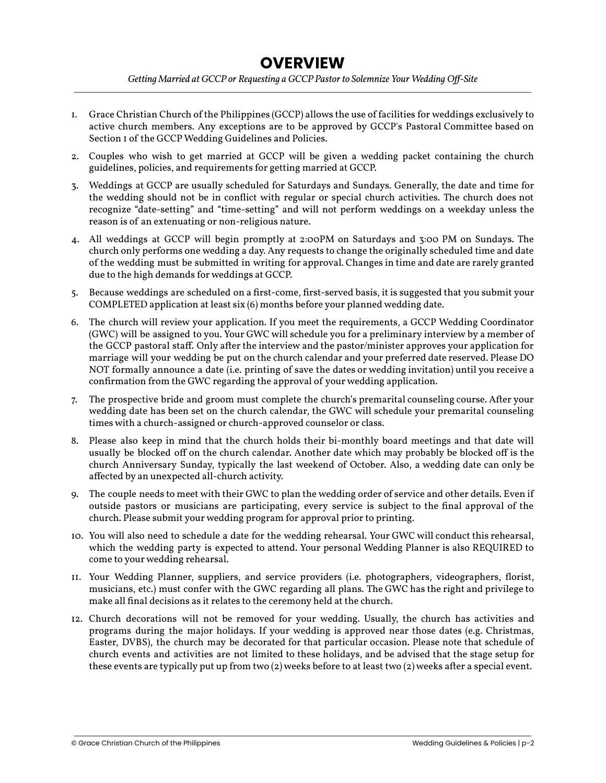## **OVERVIEW**

*Getting Married at GCCP or Requesting a GCCP Pastor to Solemnize Your Wedding Off-Site*

- 1. Grace Christian Church of the Philippines (GCCP) allows the use of facilities for weddings exclusively to active church members. Any exceptions are to be approved by GCCP's Pastoral Committee based on Section 1 of the GCCP Wedding Guidelines and Policies.
- 2. Couples who wish to get married at GCCP will be given a wedding packet containing the church guidelines, policies, and requirements for getting married at GCCP.
- 3. Weddings at GCCP are usually scheduled for Saturdays and Sundays. Generally, the date and time for the wedding should not be in conflict with regular or special church activities. The church does not recognize "date-setting" and "time-setting" and will not perform weddings on a weekday unless the reason is of an extenuating or non-religious nature.
- 4. All weddings at GCCP will begin promptly at 2:00PM on Saturdays and 3:00 PM on Sundays. The church only performs one wedding a day. Any requests to change the originally scheduled time and date of the wedding must be submitted in writing for approval. Changes in time and date are rarely granted due to the high demands for weddings at GCCP.
- 5. Because weddings are scheduled on a first-come, first-served basis, it is suggested that you submit your COMPLETED application at least six (6) months before your planned wedding date.
- 6. The church will review your application. If you meet the requirements, a GCCP Wedding Coordinator (GWC) will be assigned to you. Your GWC will schedule you for a preliminary interview by a member of the GCCP pastoral staff. Only after the interview and the pastor/minister approves your application for marriage will your wedding be put on the church calendar and your preferred date reserved. Please DO NOT formally announce a date (i.e. printing of save the dates or wedding invitation) until you receive a confirmation from the GWC regarding the approval of your wedding application.
- 7. The prospective bride and groom must complete the church's premarital counseling course. After your wedding date has been set on the church calendar, the GWC will schedule your premarital counseling times with a church-assigned or church-approved counselor or class.
- 8. Please also keep in mind that the church holds their bi-monthly board meetings and that date will usually be blocked off on the church calendar. Another date which may probably be blocked off is the church Anniversary Sunday, typically the last weekend of October. Also, a wedding date can only be affected by an unexpected all-church activity.
- 9. The couple needs to meet with their GWC to plan the wedding order of service and other details. Even if outside pastors or musicians are participating, every service is subject to the final approval of the church. Please submit your wedding program for approval prior to printing.
- 10. You will also need to schedule a date for the wedding rehearsal. Your GWC will conduct this rehearsal, which the wedding party is expected to attend. Your personal Wedding Planner is also REQUIRED to come to your wedding rehearsal.
- 11. Your Wedding Planner, suppliers, and service providers (i.e. photographers, videographers, florist, musicians, etc.) must confer with the GWC regarding all plans. The GWC has the right and privilege to make all final decisions as it relates to the ceremony held at the church.
- 12. Church decorations will not be removed for your wedding. Usually, the church has activities and programs during the major holidays. If your wedding is approved near those dates (e.g. Christmas, Easter, DVBS), the church may be decorated for that particular occasion. Please note that schedule of church events and activities are not limited to these holidays, and be advised that the stage setup for these events are typically put up from two (2) weeks before to at least two (2) weeks after a special event.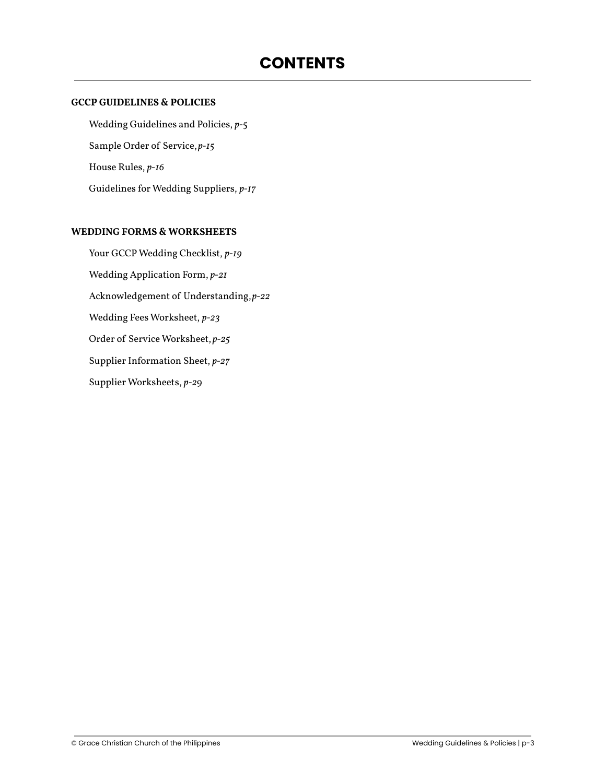#### **GCCP GUIDELINES & POLICIES**

[Wedding Guidelines and Policies,](#page-3-0) *p-*5 [Sample Order of Service,](#page-14-0)*p-15* [House Rules,](#page-15-0) *p-16* [Guidelines for Wedding Suppliers,](#page-16-0) *p-17*

#### **WEDDING FORMS & WORKSHEETS**

[Your GCCP Wedding Checklist,](#page-18-0) *p-19* [Wedding Application Form,](#page-19-0) *p-21* [Acknowledgement of Understanding,](#page-21-0)*p-22* [Wedding Fees Worksheet,](#page-22-0) *p-23*

[Order of Service Worksheet,](#page-23-0) *p-25*

[Supplier Information Sheet,](#page-26-0) *p-27*

[Supplier Worksheets](#page-27-0), *p[-2](#page-27-0)*9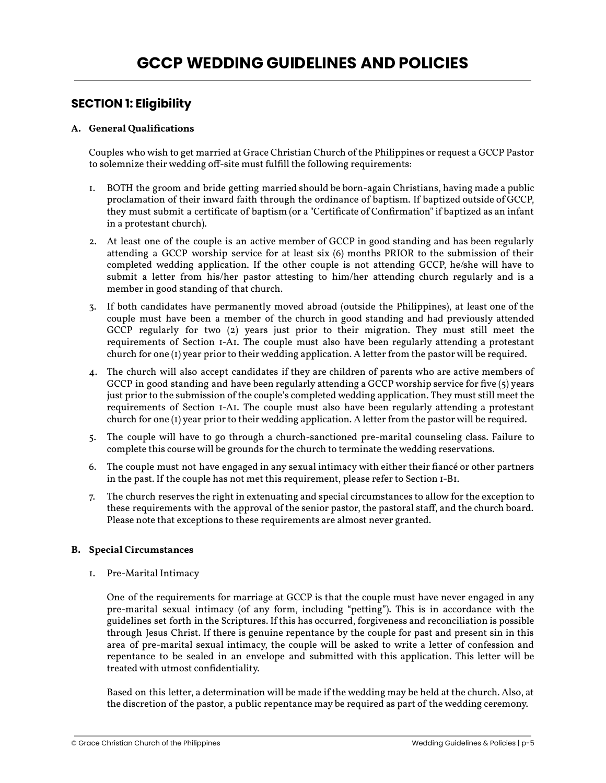### **SECTION 1: Eligibility**

#### **A. General Qualifications**

Couples who wish to get married at Grace Christian Church of the Philippines or request a GCCP Pastor to solemnize their wedding off-site must fulfill the following requirements:

- 1. BOTH the groom and bride getting married should be born-again Christians, having made a public proclamation of their inward faith through the ordinance of baptism. If baptized outside of GCCP, they must submit a certificate of baptism (or a "Certificate of Confirmation" if baptized as an infant in a protestant church).
- 2. At least one of the couple is an active member of GCCP in good standing and has been regularly attending a GCCP worship service for at least six (6) months PRIOR to the submission of their completed wedding application. If the other couple is not attending GCCP, he/she will have to submit a letter from his/her pastor attesting to him/her attending church regularly and is a member in good standing of that church.
- 3. If both candidates have permanently moved abroad (outside the Philippines), at least one of the couple must have been a member of the church in good standing and had previously attended GCCP regularly for two (2) years just prior to their migration. They must still meet the requirements of Section 1-A1. The couple must also have been regularly attending a protestant church for one (1) year prior to their wedding application. A letter from the pastor will be required.
- 4. The church will also accept candidates if they are children of parents who are active members of GCCP in good standing and have been regularly attending a GCCP worship service for five (5) years just prior to the submission of the couple's completed wedding application. They must still meet the requirements of Section 1-A1. The couple must also have been regularly attending a protestant church for one (1) year prior to their wedding application. A letter from the pastor will be required.
- 5. The couple will have to go through a church-sanctioned pre-marital counseling class. Failure to complete this course will be grounds for the church to terminate the wedding reservations.
- 6. The couple must not have engaged in any sexual intimacy with either their fiancé or other partners in the past. If the couple has not met this requirement, please refer to Section 1-B1.
- 7. The church reserves the right in extenuating and special circumstances to allow for the exception to these requirements with the approval of the senior pastor, the pastoral staff, and the church board. Please note that exceptions to these requirements are almost never granted.

#### **B. Special Circumstances**

1. Pre-Marital Intimacy

One of the requirements for marriage at GCCP is that the couple must have never engaged in any pre-marital sexual intimacy (of any form, including "petting"). This is in accordance with the guidelines set forth in the Scriptures. If this has occurred, forgiveness and reconciliation is possible through Jesus Christ. If there is genuine repentance by the couple for past and present sin in this area of pre-marital sexual intimacy, the couple will be asked to write a letter of confession and repentance to be sealed in an envelope and submitted with this application. This letter will be treated with utmost confidentiality.

Based on this letter, a determination will be made if the wedding may be held at the church. Also, at the discretion of the pastor, a public repentance may be required as part of the wedding ceremony.

© Grace Christian Church of the Philippines Wedding Guidelines & Policies | p-5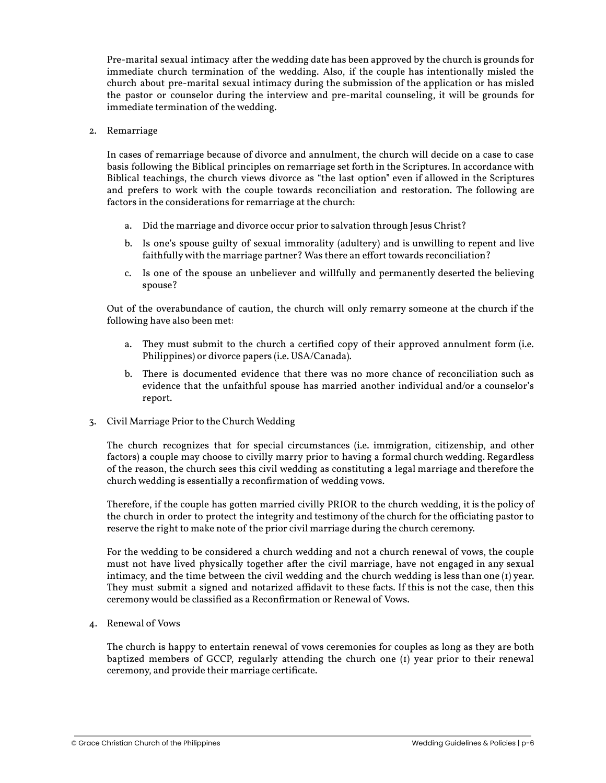Pre-marital sexual intimacy after the wedding date has been approved by the church is grounds for immediate church termination of the wedding. Also, if the couple has intentionally misled the church about pre-marital sexual intimacy during the submission of the application or has misled the pastor or counselor during the interview and pre-marital counseling, it will be grounds for immediate termination of the wedding.

2. Remarriage

In cases of remarriage because of divorce and annulment, the church will decide on a case to case basis following the Biblical principles on remarriage set forth in the Scriptures. In accordance with Biblical teachings, the church views divorce as "the last option" even if allowed in the Scriptures and prefers to work with the couple towards reconciliation and restoration. The following are factors in the considerations for remarriage at the church:

- a. Did the marriage and divorce occur prior to salvation through Jesus Christ?
- b. Is one's spouse guilty of sexual immorality (adultery) and is unwilling to repent and live faithfully with the marriage partner? Was there an effort towards reconciliation?
- c. Is one of the spouse an unbeliever and willfully and permanently deserted the believing spouse?

Out of the overabundance of caution, the church will only remarry someone at the church if the following have also been met:

- a. They must submit to the church a certified copy of their approved annulment form (i.e. Philippines) or divorce papers (i.e. USA/Canada).
- b. There is documented evidence that there was no more chance of reconciliation such as evidence that the unfaithful spouse has married another individual and/or a counselor's report.
- 3. Civil Marriage Prior to the Church Wedding

The church recognizes that for special circumstances (i.e. immigration, citizenship, and other factors) a couple may choose to civilly marry prior to having a formal church wedding. Regardless of the reason, the church sees this civil wedding as constituting a legal marriage and therefore the church wedding is essentially a reconfirmation of wedding vows.

Therefore, if the couple has gotten married civilly PRIOR to the church wedding, it is the policy of the church in order to protect the integrity and testimony of the church for the officiating pastor to reserve the right to make note of the prior civil marriage during the church ceremony.

For the wedding to be considered a church wedding and not a church renewal of vows, the couple must not have lived physically together after the civil marriage, have not engaged in any sexual intimacy, and the time between the civil wedding and the church wedding is less than one  $(i)$  year. They must submit a signed and notarized affidavit to these facts. If this is not the case, then this ceremony would be classified as a Reconfirmation or Renewal of Vows.

4. Renewal of Vows

The church is happy to entertain renewal of vows ceremonies for couples as long as they are both baptized members of GCCP, regularly attending the church one (1) year prior to their renewal ceremony, and provide their marriage certificate.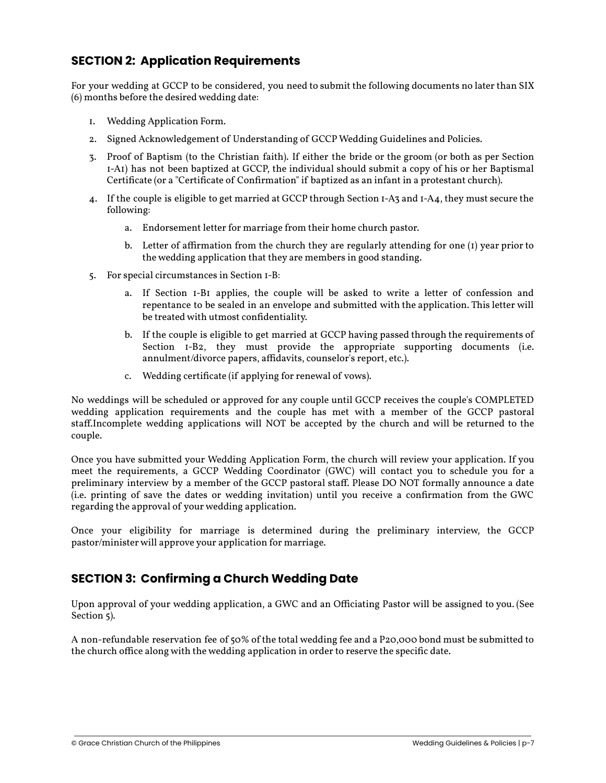### **SECTION 2: Application Requirements**

For your wedding at GCCP to be considered, you need to submit the following documents no later than SIX (6) months before the desired wedding date:

- 1. Wedding Application Form.
- 2. Signed Acknowledgement of Understanding of GCCP Wedding Guidelines and Policies.
- 3. Proof of Baptism (to the Christian faith). If either the bride or the groom (or both as per Section 1-A1) has not been baptized at GCCP, the individual should submit a copy of his or her Baptismal Certificate (or a "Certificate of Confirmation" if baptized as an infant in a protestant church).
- 4. If the couple is eligible to get married at GCCP through Section 1-A3 and 1-A4, they must secure the following:
	- a. Endorsement letter for marriage from their home church pastor.
	- b. Letter of affirmation from the church they are regularly attending for one (1) year prior to the wedding application that they are members in good standing.
- 5. For special circumstances in Section 1-B:
	- a. If Section 1-B1 applies, the couple will be asked to write a letter of confession and repentance to be sealed in an envelope and submitted with the application. This letter will be treated with utmost confidentiality.
	- b. If the couple is eligible to get married at GCCP having passed through the requirements of Section I-B2, they must provide the appropriate supporting documents (i.e. annulment/divorce papers, affidavits, counselor's report, etc.).
	- c. Wedding certificate (if applying for renewal of vows).

No weddings will be scheduled or approved for any couple until GCCP receives the couple's COMPLETED wedding application requirements and the couple has met with a member of the GCCP pastoral staff.Incomplete wedding applications will NOT be accepted by the church and will be returned to the couple.

Once you have submitted your Wedding Application Form, the church will review your application. If you meet the requirements, a GCCP Wedding Coordinator (GWC) will contact you to schedule you for a preliminary interview by a member of the GCCP pastoral staff. Please DO NOT formally announce a date (i.e. printing of save the dates or wedding invitation) until you receive a confirmation from the GWC regarding the approval of your wedding application.

Once your eligibility for marriage is determined during the preliminary interview, the GCCP pastor/minister will approve your application for marriage.

### **SECTION 3: Confirming a Church Wedding Date**

Upon approval of your wedding application, a GWC and an Officiating Pastor will be assigned to you. (See Section 5).

A non-refundable reservation fee of 50% of the total wedding fee and a P20,000 bond must be submitted to the church office along with the wedding application in order to reserve the specific date.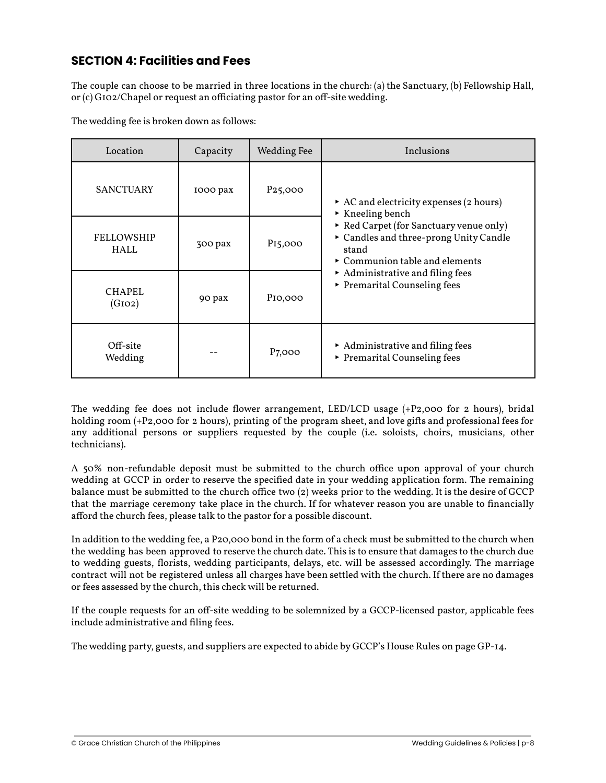### **SECTION 4: Facilities and Fees**

The couple can choose to be married in three locations in the church: (a) the Sanctuary, (b) Fellowship Hall, or (c) G102/Chapel or request an officiating pastor for an off-site wedding.

The wedding fee is broken down as follows:

| Location                         | Capacity | <b>Wedding Fee</b>   | Inclusions                                                                                                                                |
|----------------------------------|----------|----------------------|-------------------------------------------------------------------------------------------------------------------------------------------|
| <b>SANCTUARY</b>                 | 1000 pax | P <sub>25</sub> ,000 | AC and electricity expenses $(2 \text{ hours})$<br>$\triangleright$ Kneeling bench                                                        |
| <b>FELLOWSHIP</b><br><b>HALL</b> | 300 pax  | P <sub>15</sub> ,000 | ► Red Carpet (for Sanctuary venue only)<br>Candles and three-prong Unity Candle<br>stand<br>$\triangleright$ Communion table and elements |
| <b>CHAPEL</b><br>(GIO2)          | 90 pax   | P <sub>IO</sub> ,000 | Administrative and filing fees<br>Premarital Counseling fees                                                                              |
| Off-site<br>Wedding              |          | P <sub>7,000</sub>   | Administrative and filing fees<br>▶ Premarital Counseling fees                                                                            |

The wedding fee does not include flower arrangement, LED/LCD usage  $(+P<sub>2</sub>,0<sub>0</sub>$  of  $\alpha$  hours), bridal holding room (+P2,000 for 2 hours), printing of the program sheet, and love gifts and professional fees for any additional persons or suppliers requested by the couple (i.e. soloists, choirs, musicians, other technicians).

A 50% non-refundable deposit must be submitted to the church office upon approval of your church wedding at GCCP in order to reserve the specified date in your wedding application form. The remaining balance must be submitted to the church office two (2) weeks prior to the wedding. It is the desire of GCCP that the marriage ceremony take place in the church. If for whatever reason you are unable to financially afford the church fees, please talk to the pastor for a possible discount.

In addition to the wedding fee, a P20,000 bond in the form of a check must be submitted to the church when the wedding has been approved to reserve the church date. This is to ensure that damages to the church due to wedding guests, florists, wedding participants, delays, etc. will be assessed accordingly. The marriage contract will not be registered unless all charges have been settled with the church. If there are no damages or fees assessed by the church, this check will be returned.

If the couple requests for an off-site wedding to be solemnized by a GCCP-licensed pastor, applicable fees include administrative and filing fees.

The wedding party, guests, and suppliers are expected to abide by GCCP's House Rules on page GP-14.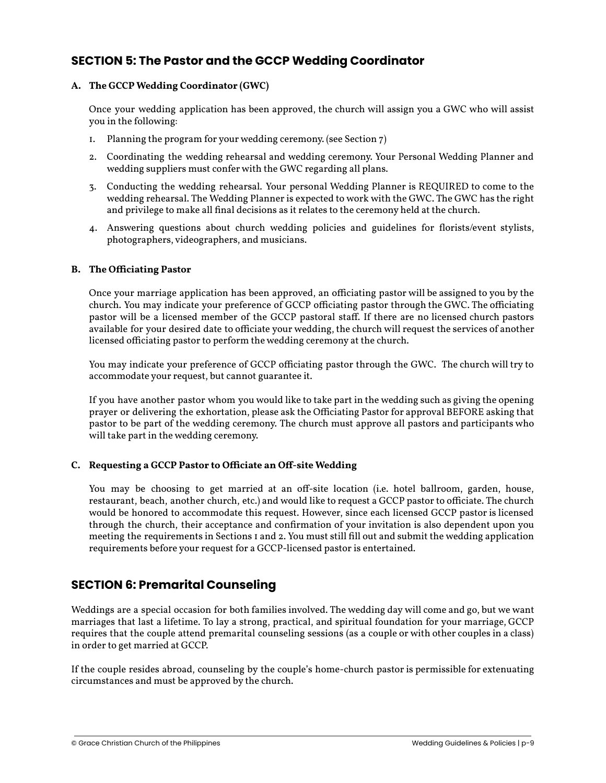### **SECTION 5: The Pastor and the GCCP Wedding Coordinator**

#### **A. The GCCP Wedding Coordinator (GWC)**

Once your wedding application has been approved, the church will assign you a GWC who will assist you in the following:

- 1. Planning the program for your wedding ceremony. (see Section 7)
- 2. Coordinating the wedding rehearsal and wedding ceremony. Your Personal Wedding Planner and wedding suppliers must confer with the GWC regarding all plans.
- 3. Conducting the wedding rehearsal. Your personal Wedding Planner is REQUIRED to come to the wedding rehearsal. The Wedding Planner is expected to work with the GWC. The GWC has the right and privilege to make all final decisions as it relates to the ceremony held at the church.
- 4. Answering questions about church wedding policies and guidelines for florists/event stylists, photographers, videographers, and musicians.

#### **B. The Officiating Pastor**

Once your marriage application has been approved, an officiating pastor will be assigned to you by the church. You may indicate your preference of GCCP officiating pastor through the GWC. The officiating pastor will be a licensed member of the GCCP pastoral staff. If there are no licensed church pastors available for your desired date to officiate your wedding, the church will request the services of another licensed officiating pastor to perform the wedding ceremony at the church.

You may indicate your preference of GCCP officiating pastor through the GWC. The church will try to accommodate your request, but cannot guarantee it.

If you have another pastor whom you would like to take part in the wedding such as giving the opening prayer or delivering the exhortation, please ask the Officiating Pastor for approval BEFORE asking that pastor to be part of the wedding ceremony. The church must approve all pastors and participants who will take part in the wedding ceremony.

#### **C. Requesting a GCCP Pastor to Officiate an Off-site Wedding**

You may be choosing to get married at an off-site location (i.e. hotel ballroom, garden, house, restaurant, beach, another church, etc.) and would like to request a GCCP pastor to officiate. The church would be honored to accommodate this request. However, since each licensed GCCP pastor is licensed through the church, their acceptance and confirmation of your invitation is also dependent upon you meeting the requirements in Sections 1 and 2. You must still fill out and submit the wedding application requirements before your request for a GCCP-licensed pastor is entertained.

### **SECTION 6: Premarital Counseling**

Weddings are a special occasion for both families involved. The wedding day will come and go, but we want marriages that last a lifetime. To lay a strong, practical, and spiritual foundation for your marriage, GCCP requires that the couple attend premarital counseling sessions (as a couple or with other couples in a class) in order to get married at GCCP.

If the couple resides abroad, counseling by the couple's home-church pastor is permissible for extenuating circumstances and must be approved by the church.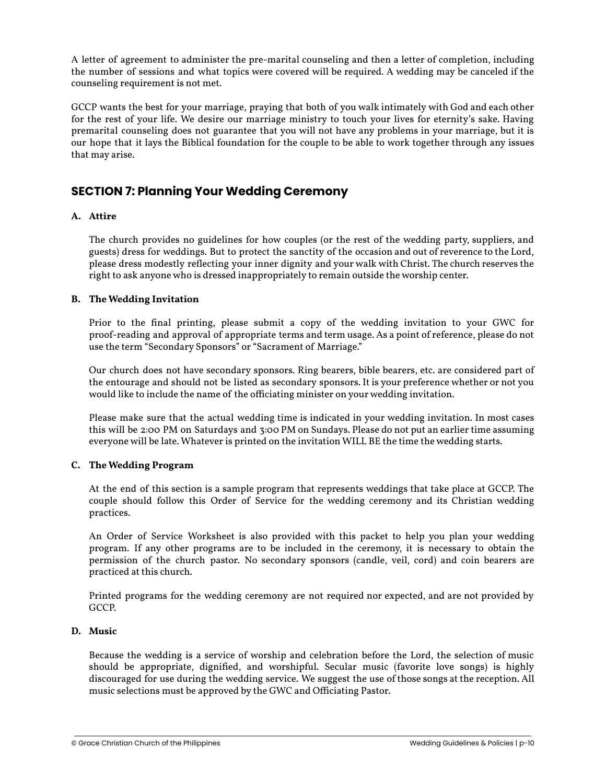A letter of agreement to administer the pre-marital counseling and then a letter of completion, including the number of sessions and what topics were covered will be required. A wedding may be canceled if the counseling requirement is not met.

GCCP wants the best for your marriage, praying that both of you walk intimately with God and each other for the rest of your life. We desire our marriage ministry to touch your lives for eternity's sake. Having premarital counseling does not guarantee that you will not have any problems in your marriage, but it is our hope that it lays the Biblical foundation for the couple to be able to work together through any issues that may arise.

### **SECTION 7: Planning Your Wedding Ceremony**

#### **A. Attire**

The church provides no guidelines for how couples (or the rest of the wedding party, suppliers, and guests) dress for weddings. But to protect the sanctity of the occasion and out of reverence to the Lord, please dress modestly reflecting your inner dignity and your walk with Christ. The church reserves the right to ask anyone who is dressed inappropriately to remain outside the worship center.

#### **B. The Wedding Invitation**

Prior to the final printing, please submit a copy of the wedding invitation to your GWC for proof-reading and approval of appropriate terms and term usage. As a point of reference, please do not use the term "Secondary Sponsors" or "Sacrament of Marriage."

Our church does not have secondary sponsors. Ring bearers, bible bearers, etc. are considered part of the entourage and should not be listed as secondary sponsors. It is your preference whether or not you would like to include the name of the officiating minister on your wedding invitation.

Please make sure that the actual wedding time is indicated in your wedding invitation. In most cases this will be 2:00 PM on Saturdays and 3:00 PM on Sundays. Please do not put an earlier time assuming everyone will be late. Whatever is printed on the invitation WILL BE the time the wedding starts.

#### **C. The Wedding Program**

At the end of this section is a sample program that represents weddings that take place at GCCP. The couple should follow this Order of Service for the wedding ceremony and its Christian wedding practices.

An Order of Service Worksheet is also provided with this packet to help you plan your wedding program. If any other programs are to be included in the ceremony, it is necessary to obtain the permission of the church pastor. No secondary sponsors (candle, veil, cord) and coin bearers are practiced at this church.

Printed programs for the wedding ceremony are not required nor expected, and are not provided by GCCP.

#### **D. Music**

Because the wedding is a service of worship and celebration before the Lord, the selection of music should be appropriate, dignified, and worshipful. Secular music (favorite love songs) is highly discouraged for use during the wedding service. We suggest the use of those songs at the reception. All music selections must be approved by the GWC and Officiating Pastor.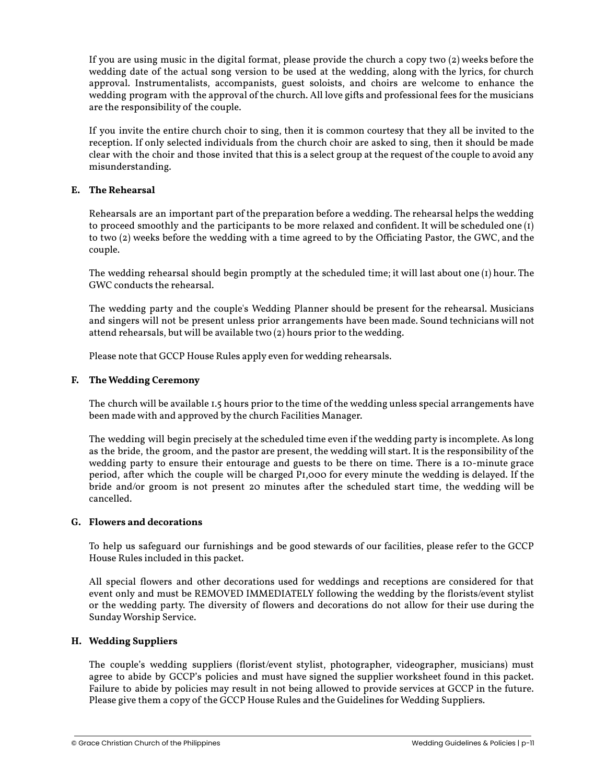If you are using music in the digital format, please provide the church a copy two (2) weeks before the wedding date of the actual song version to be used at the wedding, along with the lyrics, for church approval. Instrumentalists, accompanists, guest soloists, and choirs are welcome to enhance the wedding program with the approval of the church. All love gifts and professional fees for the musicians are the responsibility of the couple.

If you invite the entire church choir to sing, then it is common courtesy that they all be invited to the reception. If only selected individuals from the church choir are asked to sing, then it should be made clear with the choir and those invited that this is a select group at the request of the couple to avoid any misunderstanding.

#### **E. The Rehearsal**

Rehearsals are an important part of the preparation before a wedding. The rehearsal helps the wedding to proceed smoothly and the participants to be more relaxed and confident. It will be scheduled one (1) to two (2) weeks before the wedding with a time agreed to by the Officiating Pastor, the GWC, and the couple.

The wedding rehearsal should begin promptly at the scheduled time; it will last about one (1) hour. The GWC conducts the rehearsal.

The wedding party and the couple's Wedding Planner should be present for the rehearsal. Musicians and singers will not be present unless prior arrangements have been made. Sound technicians will not attend rehearsals, but will be available two (2) hours prior to the wedding.

Please note that GCCP House Rules apply even for wedding rehearsals.

#### **F. The Wedding Ceremony**

The church will be available 1.5 hours prior to the time of the wedding unless special arrangements have been made with and approved by the church Facilities Manager.

The wedding will begin precisely at the scheduled time even if the wedding party is incomplete. As long as the bride, the groom, and the pastor are present, the wedding will start. It is the responsibility of the wedding party to ensure their entourage and guests to be there on time. There is a 10-minute grace period, after which the couple will be charged P1,000 for every minute the wedding is delayed. If the bride and/or groom is not present 20 minutes after the scheduled start time, the wedding will be cancelled.

#### **G. Flowers and decorations**

To help us safeguard our furnishings and be good stewards of our facilities, please refer to the GCCP House Rules included in this packet.

All special flowers and other decorations used for weddings and receptions are considered for that event only and must be REMOVED IMMEDIATELY following the wedding by the florists/event stylist or the wedding party. The diversity of flowers and decorations do not allow for their use during the Sunday Worship Service.

#### **H. Wedding Suppliers**

The couple's wedding suppliers (florist/event stylist, photographer, videographer, musicians) must agree to abide by GCCP's policies and must have signed the supplier worksheet found in this packet. Failure to abide by policies may result in not being allowed to provide services at GCCP in the future. Please give them a copy of the GCCP House Rules and the Guidelines for Wedding Suppliers.

© Grace Christian Church of the Philippines Wedding Guidelines & Policies | p-11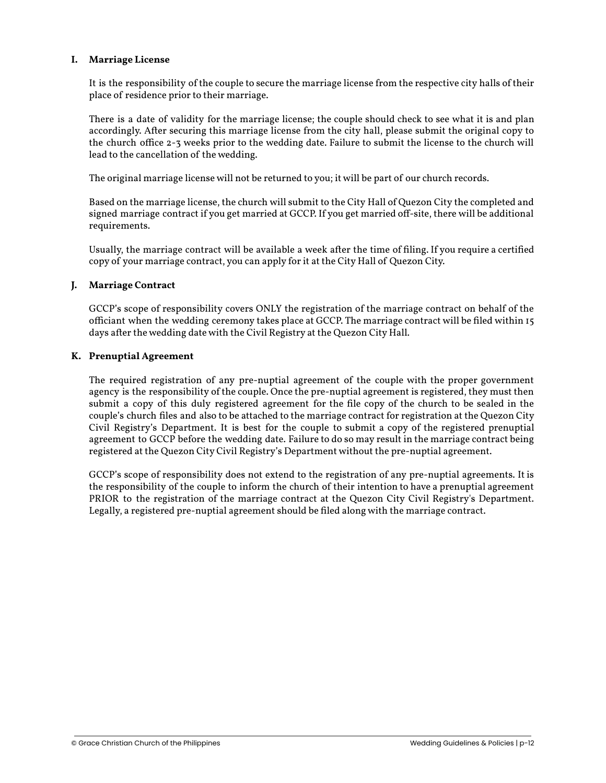#### **I. Marriage License**

It is the responsibility of the couple to secure the marriage license from the respective city halls of their place of residence prior to their marriage.

There is a date of validity for the marriage license; the couple should check to see what it is and plan accordingly. After securing this marriage license from the city hall, please submit the original copy to the church office 2-3 weeks prior to the wedding date. Failure to submit the license to the church will lead to the cancellation of the wedding.

The original marriage license will not be returned to you; it will be part of our church records.

Based on the marriage license, the church will submit to the City Hall of Quezon City the completed and signed marriage contract if you get married at GCCP. If you get married off-site, there will be additional requirements.

Usually, the marriage contract will be available a week after the time of filing. If you require a certified copy of your marriage contract, you can apply for it at the City Hall of Quezon City.

#### **J. Marriage Contract**

GCCP's scope of responsibility covers ONLY the registration of the marriage contract on behalf of the officiant when the wedding ceremony takes place at GCCP. The marriage contract will be filed within 15 days after the wedding date with the Civil Registry at the Quezon City Hall.

#### **K. Prenuptial Agreement**

The required registration of any pre-nuptial agreement of the couple with the proper government agency is the responsibility of the couple. Once the pre-nuptial agreement is registered, they must then submit a copy of this duly registered agreement for the file copy of the church to be sealed in the couple's church files and also to be attached to the marriage contract for registration at the Quezon City Civil Registry's Department. It is best for the couple to submit a copy of the registered prenuptial agreement to GCCP before the wedding date. Failure to do so may result in the marriage contract being registered at the Quezon City Civil Registry's Department without the pre-nuptial agreement.

GCCP's scope of responsibility does not extend to the registration of any pre-nuptial agreements. It is the responsibility of the couple to inform the church of their intention to have a prenuptial agreement PRIOR to the registration of the marriage contract at the Quezon City Civil Registry's Department. Legally, a registered pre-nuptial agreement should be filed along with the marriage contract.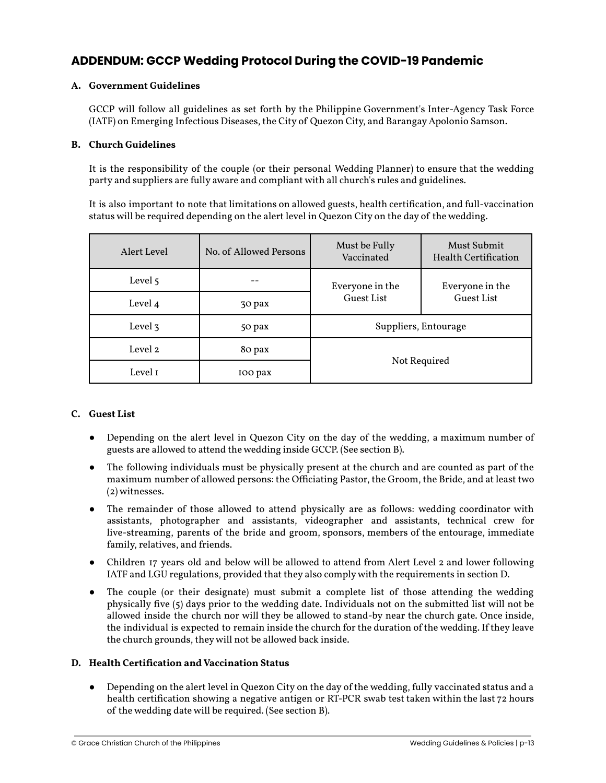### **ADDENDUM: GCCP Wedding Protocol During the COVID-19 Pandemic**

#### **A. Government Guidelines**

GCCP will follow all guidelines as set forth by the Philippine Government's Inter-Agency Task Force (IATF) on Emerging Infectious Diseases, the City of Quezon City, and Barangay Apolonio Samson.

#### **B. Church Guidelines**

It is the responsibility of the couple (or their personal Wedding Planner) to ensure that the wedding party and suppliers are fully aware and compliant with all church's rules and guidelines.

It is also important to note that limitations on allowed guests, health certification, and full-vaccination status will be required depending on the alert level in Quezon City on the day of the wedding.

| Alert Level | No. of Allowed Persons | Must be Fully<br>Vaccinated | Must Submit<br>Health Certification |
|-------------|------------------------|-----------------------------|-------------------------------------|
| Level 5     |                        | Everyone in the             | Everyone in the                     |
| Level 4     | 30 pax                 | Guest List                  | <b>Guest List</b>                   |
| Level 3     | 50 pax                 | Suppliers, Entourage        |                                     |
| Level 2     | 80 pax                 |                             |                                     |
| Level 1     | IOO pax                | Not Required                |                                     |

#### **C. Guest List**

- Depending on the alert level in Quezon City on the day of the wedding, a maximum number of guests are allowed to attend the wedding inside GCCP. (See section B).
- The following individuals must be physically present at the church and are counted as part of the maximum number of allowed persons: the Officiating Pastor, the Groom, the Bride, and at least two (2) witnesses.
- The remainder of those allowed to attend physically are as follows: wedding coordinator with assistants, photographer and assistants, videographer and assistants, technical crew for live-streaming, parents of the bride and groom, sponsors, members of the entourage, immediate family, relatives, and friends.
- Children 17 years old and below will be allowed to attend from Alert Level 2 and lower following IATF and LGU regulations, provided that they also comply with the requirements in section D.
- The couple (or their designate) must submit a complete list of those attending the wedding physically five (5) days prior to the wedding date. Individuals not on the submitted list will not be allowed inside the church nor will they be allowed to stand-by near the church gate. Once inside, the individual is expected to remain inside the church for the duration of the wedding. If they leave the church grounds, they will not be allowed back inside.

#### **D. Health Certification and Vaccination Status**

● Depending on the alert level in Quezon City on the day of the wedding, fully vaccinated status and a health certification showing a negative antigen or RT-PCR swab test taken within the last 72 hours of the wedding date will be required. (See section B).

© Grace Christian Church of the Philippines Wedding Guidelines & Policies | p-13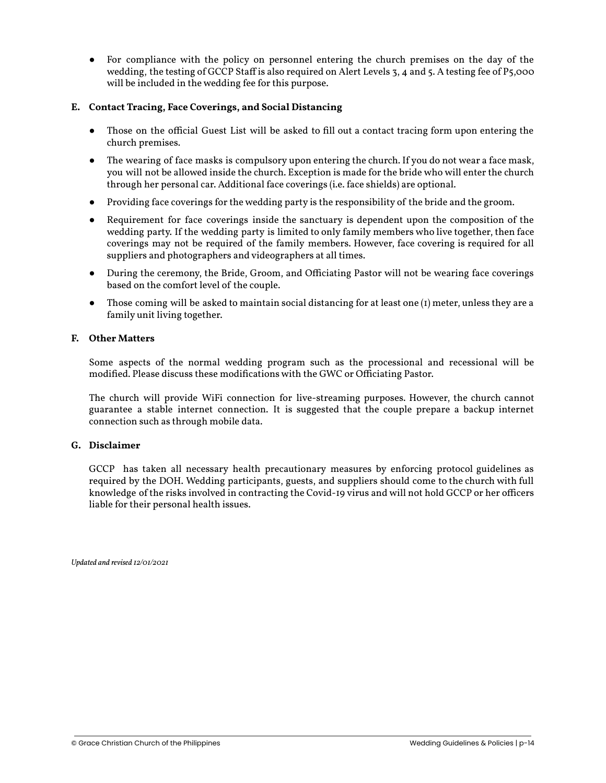For compliance with the policy on personnel entering the church premises on the day of the wedding, the testing of GCCP Staff is also required on Alert Levels 3, 4 and 5. A testing fee of P5,000 will be included in the wedding fee for this purpose.

#### **E. Contact Tracing, Face Coverings, and Social Distancing**

- Those on the official Guest List will be asked to fill out a contact tracing form upon entering the church premises.
- The wearing of face masks is compulsory upon entering the church. If you do not wear a face mask, you will not be allowed inside the church. Exception is made for the bride who will enter the church through her personal car. Additional face coverings (i.e. face shields) are optional.
- Providing face coverings for the wedding party is the responsibility of the bride and the groom.
- Requirement for face coverings inside the sanctuary is dependent upon the composition of the wedding party. If the wedding party is limited to only family members who live together, then face coverings may not be required of the family members. However, face covering is required for all suppliers and photographers and videographers at all times.
- During the ceremony, the Bride, Groom, and Officiating Pastor will not be wearing face coverings based on the comfort level of the couple.
- Those coming will be asked to maintain social distancing for at least one  $(I)$  meter, unless they are a family unit living together.

#### **F. Other Matters**

Some aspects of the normal wedding program such as the processional and recessional will be modified. Please discuss these modifications with the GWC or Officiating Pastor.

The church will provide WiFi connection for live-streaming purposes. However, the church cannot guarantee a stable internet connection. It is suggested that the couple prepare a backup internet connection such as through mobile data.

#### **G. Disclaimer**

GCCP has taken all necessary health precautionary measures by enforcing protocol guidelines as required by the DOH. Wedding participants, guests, and suppliers should come to the church with full knowledge of the risks involved in contracting the Covid-19 virus and will not hold GCCP or her officers liable for their personal health issues.

*Updated and revised 12/01/2021*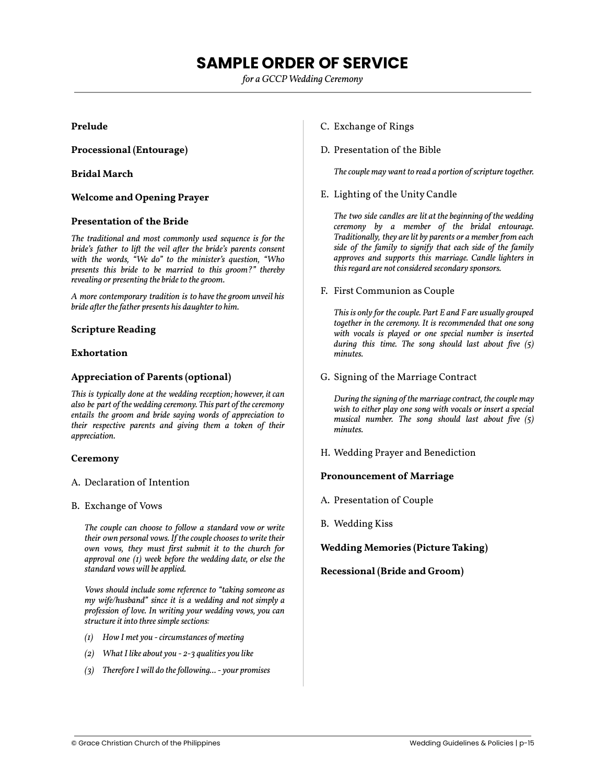## **SAMPLE ORDER OF SERVICE**

*for a GCCP Wedding Ceremony*

#### <span id="page-14-0"></span>**Prelude**

**Processional (Entourage)**

#### **Bridal March**

#### **Welcome and Opening Prayer**

#### **Presentation of the Bride**

*The traditional and most commonly used sequence is for the bride's father to lift the veil after the bride's parents consent with the words, "We do" to the minister's question, "Who presents this bride to be married to this groom?" thereby revealing or presenting the bride to the groom.*

*A more contemporary tradition is to have the groom unveil his bride after the father presents his daughter to him.*

#### **Scripture Reading**

#### **Exhortation**

#### **Appreciation of Parents (optional)**

*This is typically done at the wedding reception; however, it can also be part of the wedding ceremony. This part of the ceremony entails the groom and bride saying words of appreciation to their respective parents and giving them a token of their appreciation.*

#### **Ceremony**

- A. Declaration of Intention
- B. Exchange of Vows

*The couple can choose to follow a standard vow or write their own personal vows. If the couple chooses to write their own vows, they must first submit it to the church for approval one (1) week before the wedding date, or else the standard vows will be applied.*

*Vows should include some reference to "taking someone as my wife/husband" since it is a wedding and not simply a profession of love. In writing your wedding vows, you can structure it into three simple sections:*

- *(1) How I met you circumstances of meeting*
- *(2) What I like about you 2-3 qualities you like*
- *(3) Therefore I will do the following... your promises*
- C. Exchange of Rings
- D. Presentation of the Bible

*The couple may want to read a portion of scripture together.*

E. Lighting of the Unity Candle

*The two side candles are lit at the beginning of the wedding ceremony by a member of the bridal entourage. Traditionally, they are lit by parents or a member from each side of the family to signify that each side of the family approves and supports this marriage. Candle lighters in this regard are not considered secondary sponsors.*

F. First Communion as Couple

*This is only for the couple. Part E and F are usually grouped together in the ceremony. It is recommended that one song with vocals is played or one special number is inserted during this time. The song should last about five (5) minutes.*

G. Signing of the Marriage Contract

*During the signing of the marriage contract, the couple may wish to either play one song with vocals or insert a special musical number. The song should last about five (5) minutes.*

H. Wedding Prayer and Benediction

#### **Pronouncement of Marriage**

- A. Presentation of Couple
- B. Wedding Kiss

#### **Wedding Memories (Picture Taking)**

**Recessional (Bride and Groom)**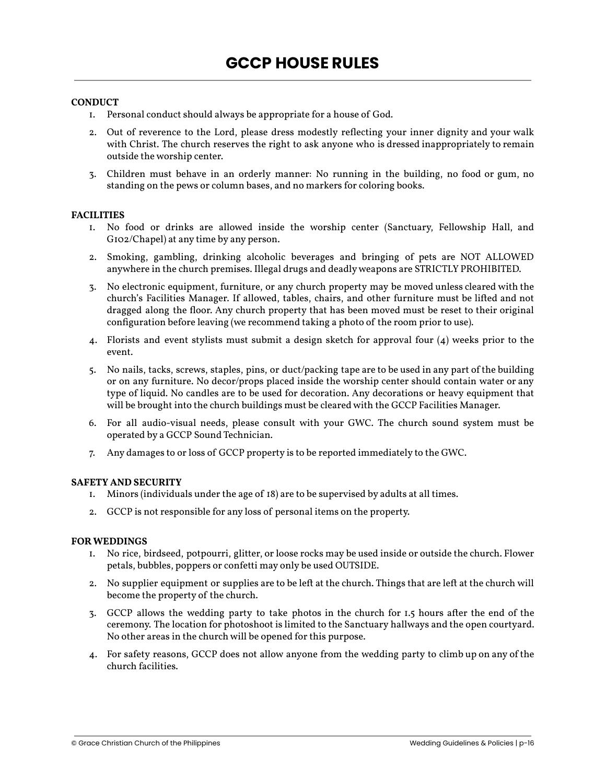#### <span id="page-15-0"></span>**CONDUCT**

- 1. Personal conduct should always be appropriate for a house of God.
- 2. Out of reverence to the Lord, please dress modestly reflecting your inner dignity and your walk with Christ. The church reserves the right to ask anyone who is dressed inappropriately to remain outside the worship center.
- 3. Children must behave in an orderly manner: No running in the building, no food or gum, no standing on the pews or column bases, and no markers for coloring books.

#### **FACILITIES**

- 1. No food or drinks are allowed inside the worship center (Sanctuary, Fellowship Hall, and G102/Chapel) at any time by any person.
- 2. Smoking, gambling, drinking alcoholic beverages and bringing of pets are NOT ALLOWED anywhere in the church premises. Illegal drugs and deadly weapons are STRICTLY PROHIBITED.
- 3. No electronic equipment, furniture, or any church property may be moved unless cleared with the church's Facilities Manager. If allowed, tables, chairs, and other furniture must be lifted and not dragged along the floor. Any church property that has been moved must be reset to their original configuration before leaving (we recommend taking a photo of the room prior to use).
- 4. Florists and event stylists must submit a design sketch for approval four (4) weeks prior to the event.
- 5. No nails, tacks, screws, staples, pins, or duct/packing tape are to be used in any part of the building or on any furniture. No decor/props placed inside the worship center should contain water or any type of liquid. No candles are to be used for decoration. Any decorations or heavy equipment that will be brought into the church buildings must be cleared with the GCCP Facilities Manager.
- 6. For all audio-visual needs, please consult with your GWC. The church sound system must be operated by a GCCP Sound Technician.
- 7. Any damages to or loss of GCCP property is to be reported immediately to the GWC.

#### **SAFETY AND SECURITY**

- 1. Minors (individuals under the age of 18) are to be supervised by adults at all times.
- 2. GCCP is not responsible for any loss of personal items on the property.

#### **FOR WEDDINGS**

- 1. No rice, birdseed, potpourri, glitter, or loose rocks may be used inside or outside the church. Flower petals, bubbles, poppers or confetti may only be used OUTSIDE.
- 2. No supplier equipment or supplies are to be left at the church. Things that are left at the church will become the property of the church.
- 3. GCCP allows the wedding party to take photos in the church for 1.5 hours after the end of the ceremony. The location for photoshoot is limited to the Sanctuary hallways and the open courtyard. No other areas in the church will be opened for this purpose.
- 4. For safety reasons, GCCP does not allow anyone from the wedding party to climb up on any of the church facilities.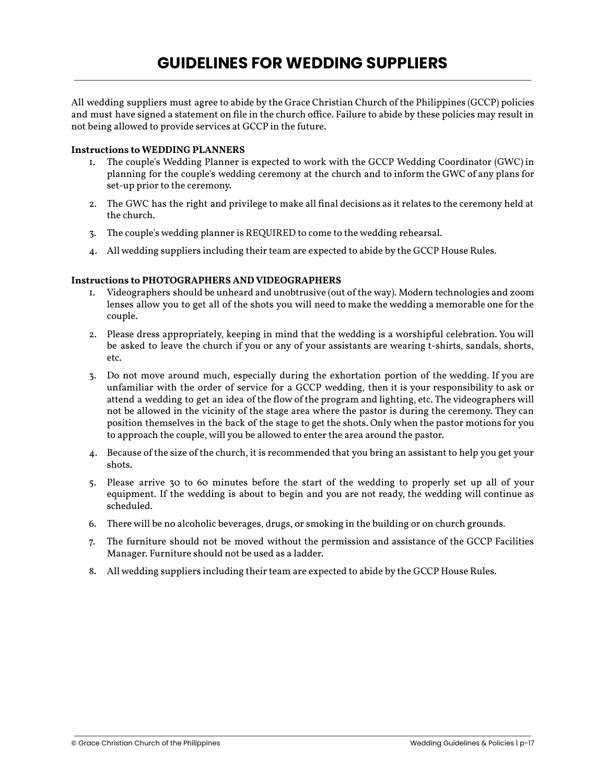<span id="page-16-0"></span>All wedding suppliers must agree to abide by the Grace Christian Church of the Philippines (GCCP) policies and must have signed a statement on file in the church office. Failure to abide by these policies may result in not being allowed to provide services at GCCP in the future.

#### **Instructions to WEDDING PLANNERS**

- 1. The couple's Wedding Planner is expected to work with the GCCP Wedding Coordinator (GWC) in planning for the couple's wedding ceremony at the church and to inform the GWC of any plans for set-up prior to the ceremony.
- 2. The GWC has the right and privilege to make all final decisions as it relates to the ceremony held at the church.
- 3. The couple's wedding planner is REQUIRED to come to the wedding rehearsal.
- 4. All wedding suppliers including their team are expected to abide by the GCCP House Rules.

#### **Instructions to PHOTOGRAPHERS AND VIDEOGRAPHERS**

- 1. Videographers should be unheard and unobtrusive (out of the way). Modern technologies and zoom lenses allow you to get all of the shots you will need to make the wedding a memorable one for the couple.
- 2. Please dress appropriately, keeping in mind that the wedding is a worshipful celebration. You will be asked to leave the church if you or any of your assistants are wearing t-shirts, sandals, shorts, etc.
- 3. Do not move around much, especially during the exhortation portion of the wedding. If you are unfamiliar with the order of service for a GCCP wedding, then it is your responsibility to ask or attend a wedding to get an idea of the flow of the program and lighting, etc. The videographers will not be allowed in the vicinity of the stage area where the pastor is during the ceremony. They can position themselves in the back of the stage to get the shots. Only when the pastor motions for you to approach the couple, will you be allowed to enter the area around the pastor.
- 4. Because of the size of the church, it is recommended that you bring an assistant to help you get your shots.
- 5. Please arrive 30 to 60 minutes before the start of the wedding to properly set up all of your equipment. If the wedding is about to begin and you are not ready, the wedding will continue as scheduled.
- 6. There will be no alcoholic beverages, drugs, or smoking in the building or on church grounds.
- 7. The furniture should not be moved without the permission and assistance of the GCCP Facilities Manager. Furniture should not be used as a ladder.
- 8. All wedding suppliers including their team are expected to abide by the GCCP House Rules.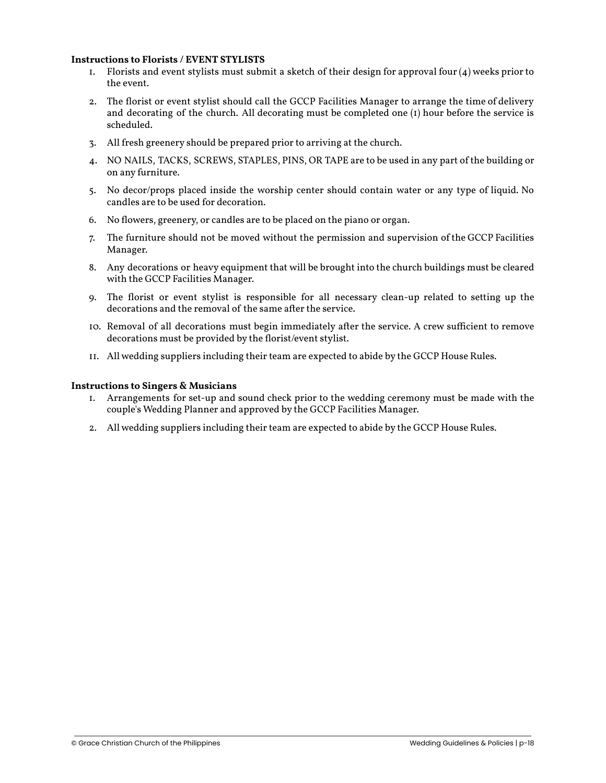#### **Instructions to Florists / EVENT STYLISTS**

- 1. Florists and event stylists must submit a sketch of their design for approval four  $(4)$  weeks prior to the event.
- 2. The florist or event stylist should call the GCCP Facilities Manager to arrange the time of delivery and decorating of the church. All decorating must be completed one  $(I)$  hour before the service is scheduled.
- 3. All fresh greenery should be prepared prior to arriving at the church.
- 4. NO NAILS, TACKS, SCREWS, STAPLES, PINS, OR TAPE are to be used in any part of the building or on any furniture.
- 5. No decor/props placed inside the worship center should contain water or any type of liquid. No candles are to be used for decoration.
- 6. No flowers, greenery, or candles are to be placed on the piano or organ.
- 7. The furniture should not be moved without the permission and supervision of the GCCP Facilities Manager.
- 8. Any decorations or heavy equipment that will be brought into the church buildings must be cleared with the GCCP Facilities Manager.
- 9. The florist or event stylist is responsible for all necessary clean-up related to setting up the decorations and the removal of the same after the service.
- 10. Removal of all decorations must begin immediately after the service. A crew sufficient to remove decorations must be provided by the florist/event stylist.
- 11. All wedding suppliers including their team are expected to abide by the GCCP House Rules.

#### **Instructions to Singers & Musicians**

- 1. Arrangements for set-up and sound check prior to the wedding ceremony must be made with the couple's Wedding Planner and approved by the GCCP Facilities Manager.
- 2. All wedding suppliers including their team are expected to abide by the GCCP House Rules.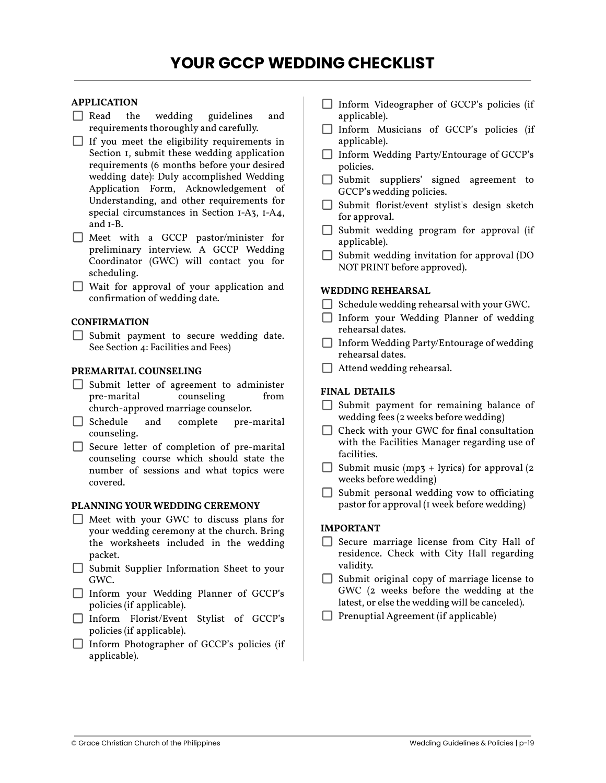#### <span id="page-18-0"></span>**APPLICATION**

- Read the wedding guidelines and requirements thoroughly and carefully.
- $\Box$  If you meet the eligibility requirements in Section 1, submit these wedding application requirements (6 months before your desired wedding date): Duly accomplished Wedding Application Form, Acknowledgement of Understanding, and other requirements for special circumstances in Section 1-A3, 1-A4, and 1-B.
- Meet with a GCCP pastor/minister for preliminary interview. A GCCP Wedding Coordinator (GWC) will contact you for scheduling.
- Wait for approval of your application and confirmation of wedding date.

#### **CONFIRMATION**

 $\Box$  Submit payment to secure wedding date. See Section 4: Facilities and Fees)

#### **PREMARITAL COUNSELING**

- Submit letter of agreement to administer pre-marital church-approved marriage counselor.
- $\Box$  Schedule and complete pre-marital counseling.
- $\Box$  Secure letter of completion of pre-marital counseling course which should state the number of sessions and what topics were covered.

#### **PLANNING YOUR WEDDING CEREMONY**

- $\Box$  Meet with your GWC to discuss plans for your wedding ceremony at the church. Bring the worksheets included in the wedding packet.
- $\Box$  Submit Supplier Information Sheet to your GWC.
- Inform your Wedding Planner of GCCP's policies (if applicable).
- Inform Florist/Event Stylist of GCCP's policies (if applicable).
- $\Box$  Inform Photographer of GCCP's policies (if applicable).
- $\Box$  Inform Videographer of GCCP's policies (if applicable).
- Inform Musicians of GCCP's policies (if applicable).
- Inform Wedding Party/Entourage of GCCP's policies.
- Submit suppliers' signed agreement to GCCP's wedding policies.
- $\Box$  Submit florist/event stylist's design sketch for approval.
- $\Box$  Submit wedding program for approval (if applicable).
- $\Box$  Submit wedding invitation for approval (DO NOT PRINT before approved).

#### **WEDDING REHEARSAL**

- $\Box$  Schedule wedding rehearsal with your GWC.
- Inform your Wedding Planner of wedding rehearsal dates.
- $\Box$  Inform Wedding Party/Entourage of wedding rehearsal dates.
- $\Box$  Attend wedding rehearsal.

#### **FINAL DETAILS**

- $\Box$  Submit payment for remaining balance of wedding fees (2 weeks before wedding)
- $\Box$  Check with your GWC for final consultation with the Facilities Manager regarding use of facilities.
- $\Box$  Submit music (mp3 + lyrics) for approval (2) weeks before wedding)
- $\Box$  Submit personal wedding vow to officiating pastor for approval (1 week before wedding)

#### **IMPORTANT**

- $\Box$  Secure marriage license from City Hall of residence. Check with City Hall regarding validity.
- $\Box$  Submit original copy of marriage license to GWC (2 weeks before the wedding at the latest, or else the wedding will be canceled).
- $\Box$  Prenuptial Agreement (if applicable)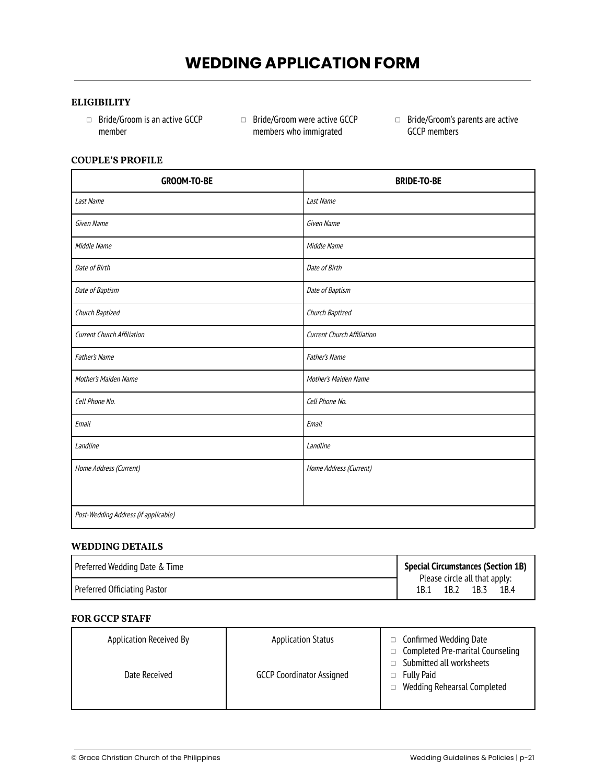# **WEDDING APPLICATION FORM**

#### **ELIGIBILITY**

- ◻ Bride/Groom is an active GCCP member
- ◻ Bride/Groom were active GCCP members who immigrated
- ◻ Bride/Groom's parents are active GCCP members

#### **COUPLE'S PROFILE**

| <b>GROOM-TO-BE</b>                   | <b>BRIDE-TO-BE</b>          |  |
|--------------------------------------|-----------------------------|--|
| Last Name                            | Last Name                   |  |
| Given Name                           | Given Name                  |  |
| Middle Name                          | Middle Name                 |  |
| Date of Birth                        | Date of Birth               |  |
| Date of Baptism                      | Date of Baptism             |  |
| Church Baptized                      | Church Baptized             |  |
| Current Church Affiliation           | Current Church Affiliation  |  |
| <b>Father's Name</b>                 | <b>Father's Name</b>        |  |
| <b>Mother's Maiden Name</b>          | <b>Mother's Maiden Name</b> |  |
| Cell Phone No.                       | Cell Phone No.              |  |
| Email                                | Email                       |  |
| Landline                             | Landline                    |  |
| Home Address (Current)               | Home Address (Current)      |  |
|                                      |                             |  |
| Post-Wedding Address (if applicable) |                             |  |

#### **WEDDING DETAILS**

| Preferred Wedding Date & Time | <b>Special Circumstances (Section 1B)</b> |                                       |      |      |
|-------------------------------|-------------------------------------------|---------------------------------------|------|------|
| Preferred Officiating Pastor  | 1B.1                                      | Please circle all that apply:<br>1B.2 | 1B.3 | 1B.4 |

#### **FOR GCCP STAFF**

| Application Received By | <b>Application Status</b>        | Confirmed Wedding Date<br>Completed Pre-marital Counseling<br>$\Box$<br>Submitted all worksheets |
|-------------------------|----------------------------------|--------------------------------------------------------------------------------------------------|
| Date Received           | <b>GCCP Coordinator Assigned</b> | Fully Paid<br>Wedding Rehearsal Completed<br>П.                                                  |
|                         |                                  |                                                                                                  |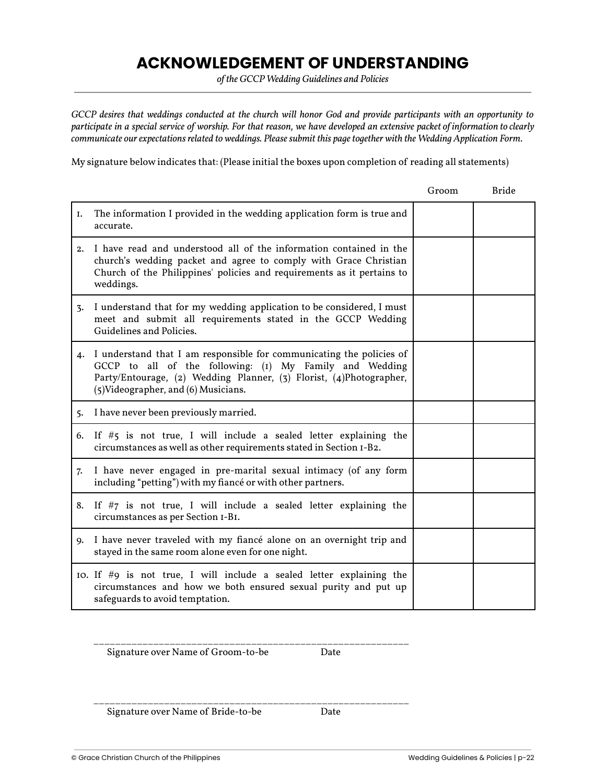## **ACKNOWLEDGEMENT OF UNDERSTANDING**

*of the GCCP Wedding Guidelines and Policies*

<span id="page-21-0"></span>*GCCP desires that weddings conducted at the church will honor God and provide participants with an opportunity to participate in a special service of worship. For that reason, we have developed an extensive packet of information to clearly communicate our expectations related to weddings. Please submit this page together with the Wedding Application Form.*

My signature below indicates that: (Please initial the boxes upon completion of reading all statements)

|    |                                                                                                                                                                                                                                                   | Groom | <b>Bride</b> |
|----|---------------------------------------------------------------------------------------------------------------------------------------------------------------------------------------------------------------------------------------------------|-------|--------------|
| I. | The information I provided in the wedding application form is true and<br>accurate.                                                                                                                                                               |       |              |
|    | 2. I have read and understood all of the information contained in the<br>church's wedding packet and agree to comply with Grace Christian<br>Church of the Philippines' policies and requirements as it pertains to<br>weddings.                  |       |              |
| 3. | I understand that for my wedding application to be considered, I must<br>meet and submit all requirements stated in the GCCP Wedding<br>Guidelines and Policies.                                                                                  |       |              |
|    | 4. I understand that I am responsible for communicating the policies of<br>GCCP to all of the following: (1) My Family and Wedding<br>Party/Entourage, (2) Wedding Planner, (3) Florist, (4)Photographer,<br>(5) Videographer, and (6) Musicians. |       |              |
|    | 5. I have never been previously married.                                                                                                                                                                                                          |       |              |
|    | 6. If $#$ 5 is not true, I will include a sealed letter explaining the<br>circumstances as well as other requirements stated in Section I-B2.                                                                                                     |       |              |
|    | 7. I have never engaged in pre-marital sexual intimacy (of any form<br>including "petting") with my fiancé or with other partners.                                                                                                                |       |              |
|    | 8. If $#7$ is not true, I will include a sealed letter explaining the<br>circumstances as per Section I-BI.                                                                                                                                       |       |              |
|    | 9. I have never traveled with my fiancé alone on an overnight trip and<br>stayed in the same room alone even for one night.                                                                                                                       |       |              |
|    | 10. If $#9$ is not true, I will include a sealed letter explaining the<br>circumstances and how we both ensured sexual purity and put up<br>safeguards to avoid temptation.                                                                       |       |              |

Signature over Name of Groom-to-be Date

\_\_\_\_\_\_\_\_\_\_\_\_\_\_\_\_\_\_\_\_\_\_\_\_\_\_\_\_\_\_\_\_\_\_\_\_\_\_\_\_\_\_\_\_\_\_\_\_\_\_\_\_\_\_\_\_\_\_

Signature over Name of Bride-to-be Date

\_\_\_\_\_\_\_\_\_\_\_\_\_\_\_\_\_\_\_\_\_\_\_\_\_\_\_\_\_\_\_\_\_\_\_\_\_\_\_\_\_\_\_\_\_\_\_\_\_\_\_\_\_\_\_\_\_\_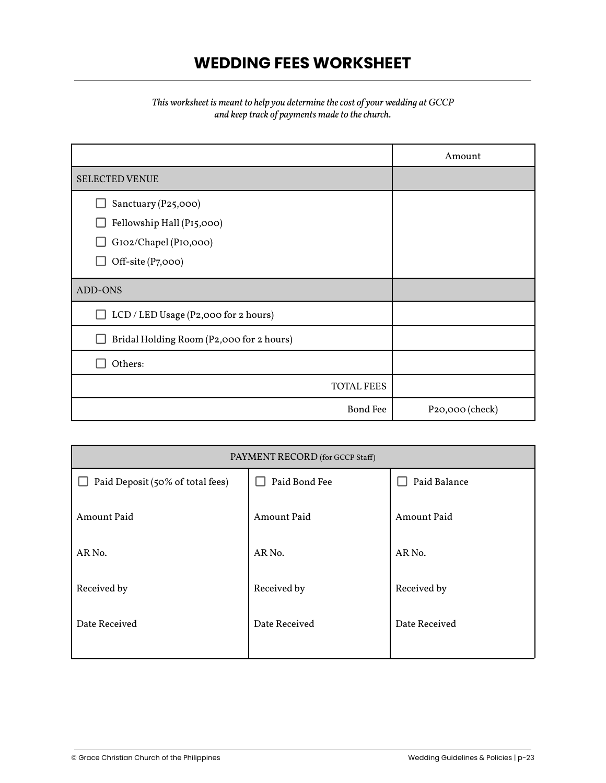## **WEDDING FEES WORKSHEET**

#### *This worksheet is meant to help you determine the cost of your wedding at GCCP and keep track of payments made to the church.*

<span id="page-22-0"></span>

|                                          | Amount          |
|------------------------------------------|-----------------|
| <b>SELECTED VENUE</b>                    |                 |
| Sanctuary (P25,000)                      |                 |
| Fellowship Hall (P15,000)                |                 |
| GI02/Chapel (PI0,000)                    |                 |
| Off-site (P7,000)                        |                 |
| ADD-ONS                                  |                 |
| LCD / LED Usage (P2,000 for 2 hours)     |                 |
| Bridal Holding Room (P2,000 for 2 hours) |                 |
| Others:                                  |                 |
| <b>TOTAL FEES</b>                        |                 |
| <b>Bond Fee</b>                          | P20,000 (check) |

| PAYMENT RECORD (for GCCP Staff)  |               |               |
|----------------------------------|---------------|---------------|
| Paid Deposit (50% of total fees) | Paid Bond Fee | Paid Balance  |
| Amount Paid                      | Amount Paid   | Amount Paid   |
| AR No.                           | AR No.        | AR No.        |
| Received by                      | Received by   | Received by   |
| Date Received                    | Date Received | Date Received |
|                                  |               |               |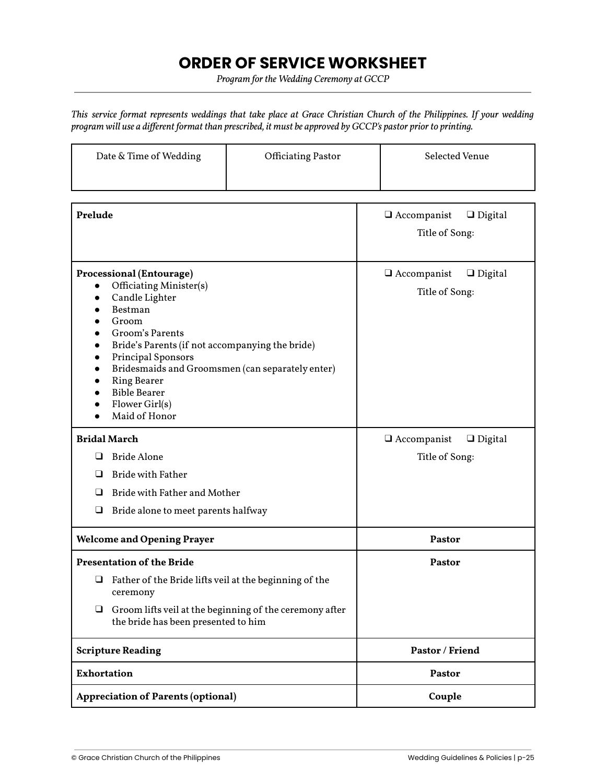## **ORDER OF SERVICE WORKSHEET**

*Program for the Wedding Ceremony at GCCP*

*This service format represents weddings that take place at Grace Christian Church of the Philippines. If your wedding program will use a different format than prescribed, it must be approved by GCCP's pastor prior to printing.*

| Date & Time of Wedding | <b>Officiating Pastor</b> | Selected Venue |
|------------------------|---------------------------|----------------|
|                        |                           |                |

| Prelude                                                                                                                                                                                                                                                                                                                                                                 | $\Box$ Accompanist<br>$\Box$ Digital<br>Title of Song: |  |
|-------------------------------------------------------------------------------------------------------------------------------------------------------------------------------------------------------------------------------------------------------------------------------------------------------------------------------------------------------------------------|--------------------------------------------------------|--|
| <b>Processional (Entourage)</b><br>Officiating Minister(s)<br>$\bullet$<br>Candle Lighter<br>$\bullet$<br>Bestman<br>$\bullet$<br>Groom<br>Groom's Parents<br>Bride's Parents (if not accompanying the bride)<br>Principal Sponsors<br>Bridesmaids and Groomsmen (can separately enter)<br><b>Ring Bearer</b><br><b>Bible Bearer</b><br>Flower Girl(s)<br>Maid of Honor | $\Box$ Accompanist<br>$\Box$ Digital<br>Title of Song: |  |
| <b>Bridal March</b>                                                                                                                                                                                                                                                                                                                                                     | $\Box$ Accompanist<br>$\Box$ Digital                   |  |
| <b>Bride Alone</b><br>$\Box$                                                                                                                                                                                                                                                                                                                                            | Title of Song:                                         |  |
| <b>Bride with Father</b><br>❏                                                                                                                                                                                                                                                                                                                                           |                                                        |  |
| Bride with Father and Mother<br>❏                                                                                                                                                                                                                                                                                                                                       |                                                        |  |
| ❏<br>Bride alone to meet parents halfway                                                                                                                                                                                                                                                                                                                                |                                                        |  |
| <b>Welcome and Opening Prayer</b>                                                                                                                                                                                                                                                                                                                                       | Pastor                                                 |  |
| <b>Presentation of the Bride</b>                                                                                                                                                                                                                                                                                                                                        | Pastor                                                 |  |
| $\Box$ Father of the Bride lifts veil at the beginning of the<br>ceremony                                                                                                                                                                                                                                                                                               |                                                        |  |
| $\Box$ Groom lifts veil at the beginning of the ceremony after<br>the bride has been presented to him                                                                                                                                                                                                                                                                   |                                                        |  |
| <b>Scripture Reading</b>                                                                                                                                                                                                                                                                                                                                                | Pastor / Friend                                        |  |
| <b>Exhortation</b>                                                                                                                                                                                                                                                                                                                                                      | <b>Pastor</b>                                          |  |
| <b>Appreciation of Parents (optional)</b>                                                                                                                                                                                                                                                                                                                               | Couple                                                 |  |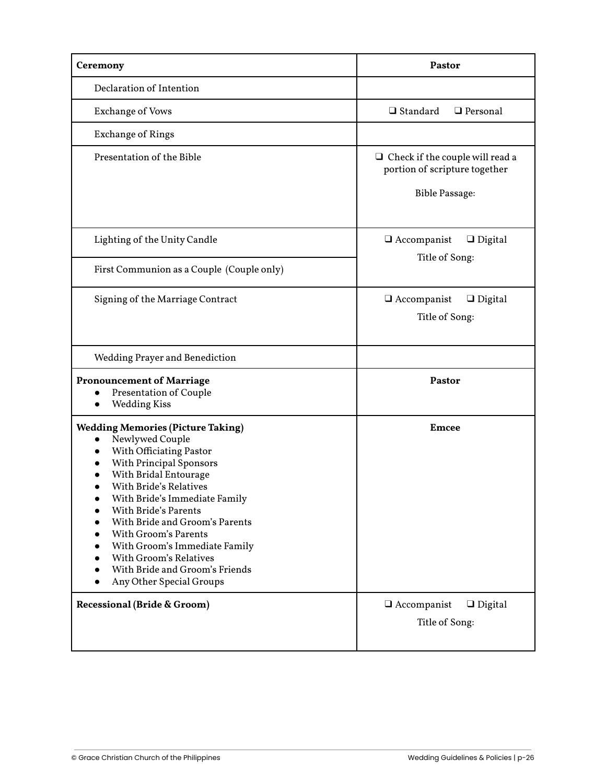| Ceremony                                                                                                                                                                                                                                                                                                                                                                                                                      | Pastor                                                                                           |
|-------------------------------------------------------------------------------------------------------------------------------------------------------------------------------------------------------------------------------------------------------------------------------------------------------------------------------------------------------------------------------------------------------------------------------|--------------------------------------------------------------------------------------------------|
| Declaration of Intention                                                                                                                                                                                                                                                                                                                                                                                                      |                                                                                                  |
| <b>Exchange of Vows</b>                                                                                                                                                                                                                                                                                                                                                                                                       | $\Box$ Standard<br>□ Personal                                                                    |
| <b>Exchange of Rings</b>                                                                                                                                                                                                                                                                                                                                                                                                      |                                                                                                  |
| Presentation of the Bible                                                                                                                                                                                                                                                                                                                                                                                                     | $\Box$ Check if the couple will read a<br>portion of scripture together<br><b>Bible Passage:</b> |
| Lighting of the Unity Candle                                                                                                                                                                                                                                                                                                                                                                                                  | $\Box$ Accompanist<br>$\Box$ Digital                                                             |
| First Communion as a Couple (Couple only)                                                                                                                                                                                                                                                                                                                                                                                     | Title of Song:                                                                                   |
| Signing of the Marriage Contract                                                                                                                                                                                                                                                                                                                                                                                              | $\Box$ Accompanist<br>$\Box$ Digital<br>Title of Song:                                           |
| <b>Wedding Prayer and Benediction</b>                                                                                                                                                                                                                                                                                                                                                                                         |                                                                                                  |
| <b>Pronouncement of Marriage</b><br><b>Presentation of Couple</b><br><b>Wedding Kiss</b><br>$\bullet$                                                                                                                                                                                                                                                                                                                         | Pastor                                                                                           |
| <b>Wedding Memories (Picture Taking)</b><br>Newlywed Couple<br>$\bullet$<br>With Officiating Pastor<br>With Principal Sponsors<br>With Bridal Entourage<br>With Bride's Relatives<br>With Bride's Immediate Family<br>With Bride's Parents<br>With Bride and Groom's Parents<br>With Groom's Parents<br>With Groom's Immediate Family<br>With Groom's Relatives<br>With Bride and Groom's Friends<br>Any Other Special Groups | <b>Emcee</b>                                                                                     |
| Recessional (Bride & Groom)                                                                                                                                                                                                                                                                                                                                                                                                   | $\Box$ Accompanist<br>$\Box$ Digital<br>Title of Song:                                           |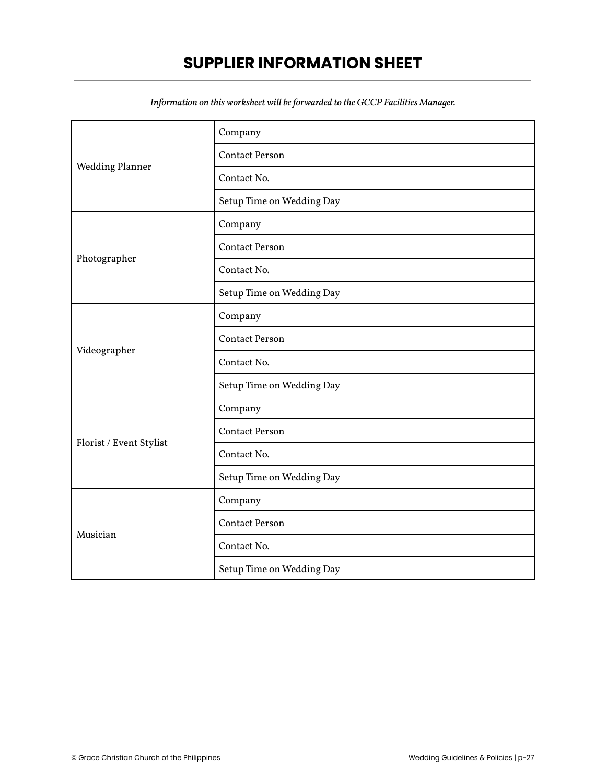## **SUPPLIER INFORMATION SHEET**

<span id="page-26-0"></span>

|                         | Company                   |
|-------------------------|---------------------------|
|                         | <b>Contact Person</b>     |
| <b>Wedding Planner</b>  | Contact No.               |
|                         | Setup Time on Wedding Day |
|                         | Company                   |
|                         | <b>Contact Person</b>     |
| Photographer            | Contact No.               |
|                         | Setup Time on Wedding Day |
|                         | Company                   |
|                         | <b>Contact Person</b>     |
| Videographer            | Contact No.               |
|                         | Setup Time on Wedding Day |
|                         | Company                   |
|                         | <b>Contact Person</b>     |
| Florist / Event Stylist | Contact No.               |
|                         | Setup Time on Wedding Day |
|                         | Company                   |
| Musician                | <b>Contact Person</b>     |
|                         | Contact No.               |
|                         | Setup Time on Wedding Day |

*Information on this worksheet will be forwarded to the GCCP Facilities Manager.*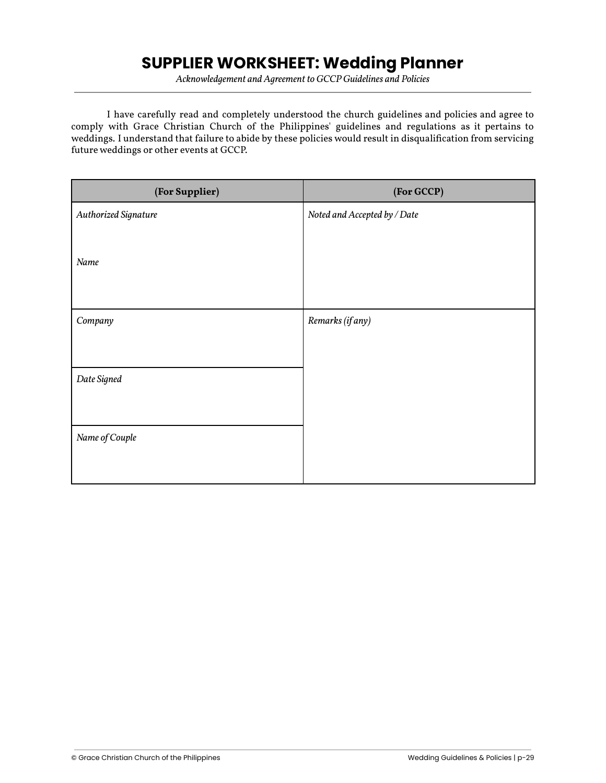## **SUPPLIER WORKSHEET: Wedding Planner**

*Acknowledgement and Agreement to GCCP Guidelines and Policies*

| (For Supplier)       | (For GCCP)                   |
|----------------------|------------------------------|
| Authorized Signature | Noted and Accepted by / Date |
|                      |                              |
| Name                 |                              |
|                      |                              |
| Company              | Remarks (if any)             |
|                      |                              |
|                      |                              |
| Date Signed          |                              |
|                      |                              |
| Name of Couple       |                              |
|                      |                              |
|                      |                              |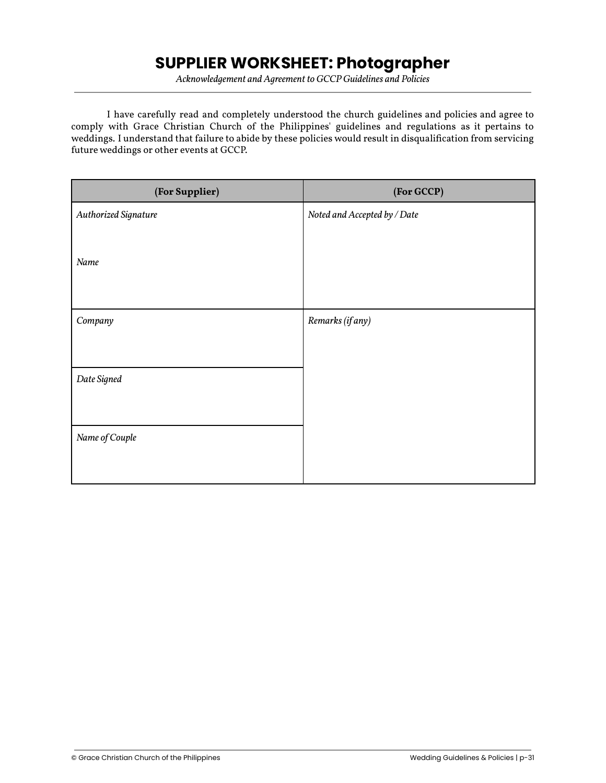## **SUPPLIER WORKSHEET: Photographer**

*Acknowledgement and Agreement to GCCP Guidelines and Policies*

| (For Supplier)       | (For GCCP)                   |
|----------------------|------------------------------|
| Authorized Signature | Noted and Accepted by / Date |
|                      |                              |
| Name                 |                              |
|                      |                              |
| Company              | Remarks (if any)             |
|                      |                              |
|                      |                              |
| Date Signed          |                              |
|                      |                              |
| Name of Couple       |                              |
|                      |                              |
|                      |                              |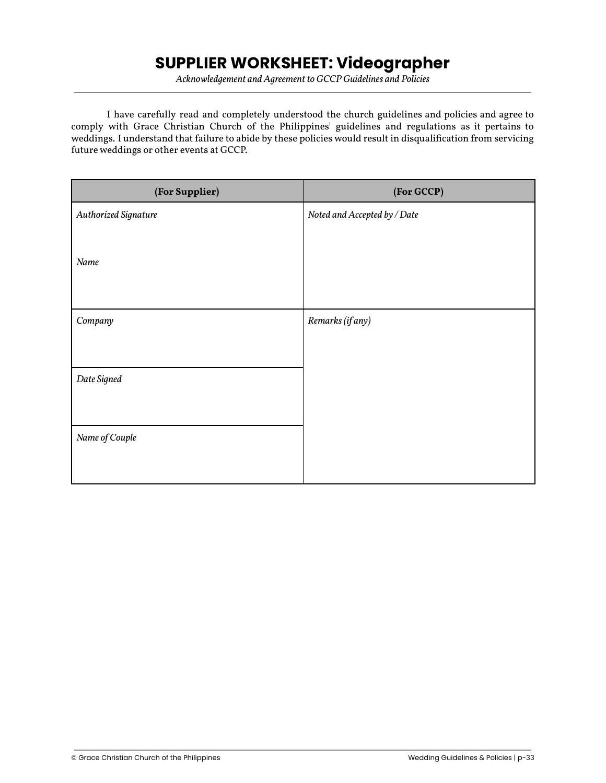# **SUPPLIER WORKSHEET: Videographer**

*Acknowledgement and Agreement to GCCP Guidelines and Policies*

| (For Supplier)       | (For GCCP)                   |
|----------------------|------------------------------|
| Authorized Signature | Noted and Accepted by / Date |
|                      |                              |
| Name                 |                              |
|                      |                              |
| Company              | Remarks (if any)             |
|                      |                              |
|                      |                              |
| Date Signed          |                              |
|                      |                              |
| Name of Couple       |                              |
|                      |                              |
|                      |                              |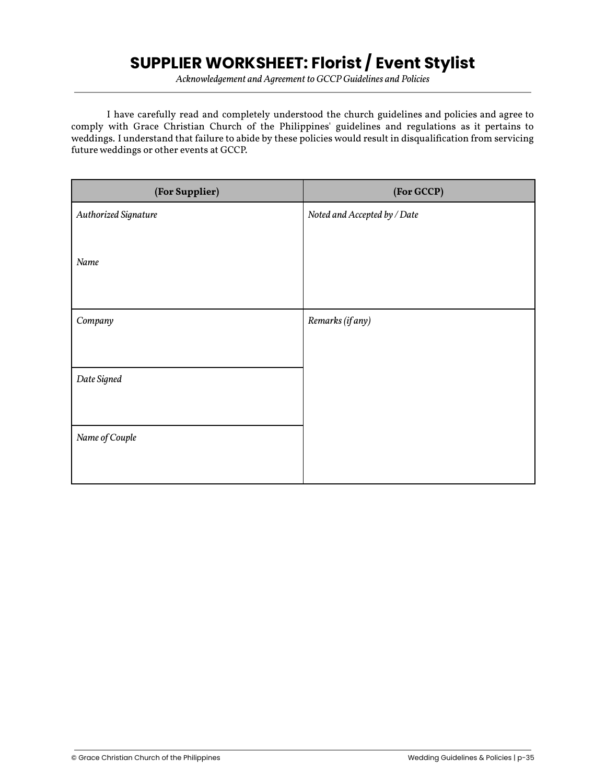# **SUPPLIER WORKSHEET: Florist / Event Stylist**

*Acknowledgement and Agreement to GCCP Guidelines and Policies*

| (For Supplier)       | (For GCCP)                   |
|----------------------|------------------------------|
| Authorized Signature | Noted and Accepted by / Date |
|                      |                              |
| Name                 |                              |
|                      |                              |
| Company              | Remarks (if any)             |
|                      |                              |
|                      |                              |
| Date Signed          |                              |
|                      |                              |
| Name of Couple       |                              |
|                      |                              |
|                      |                              |